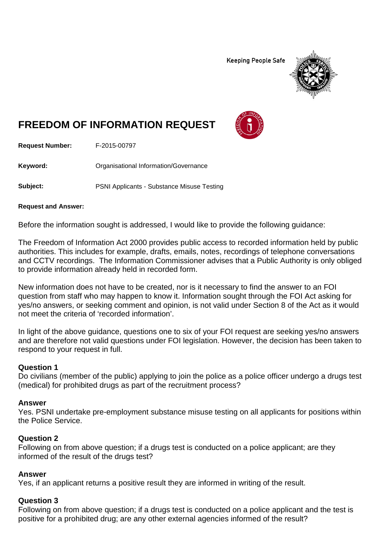**Keeping People Safe** 



# **FREEDOM OF INFORMATION REQUEST**

**Request Number:** F-2015-00797

**Keyword:** Organisational Information/Governance

**Subject:** PSNI Applicants - Substance Misuse Testing

#### **Request and Answer:**

Before the information sought is addressed, I would like to provide the following guidance:

The Freedom of Information Act 2000 provides public access to recorded information held by public authorities. This includes for example, drafts, emails, notes, recordings of telephone conversations and CCTV recordings. The Information Commissioner advises that a Public Authority is only obliged to provide information already held in recorded form.

New information does not have to be created, nor is it necessary to find the answer to an FOI question from staff who may happen to know it. Information sought through the FOI Act asking for yes/no answers, or seeking comment and opinion, is not valid under Section 8 of the Act as it would not meet the criteria of 'recorded information'.

In light of the above guidance, questions one to six of your FOI request are seeking yes/no answers and are therefore not valid questions under FOI legislation. However, the decision has been taken to respond to your request in full.

#### **Question 1**

Do civilians (member of the public) applying to join the police as a police officer undergo a drugs test (medical) for prohibited drugs as part of the recruitment process?

#### **Answer**

Yes. PSNI undertake pre-employment substance misuse testing on all applicants for positions within the Police Service.

#### **Question 2**

Following on from above question; if a drugs test is conducted on a police applicant; are they informed of the result of the drugs test?

#### **Answer**

Yes, if an applicant returns a positive result they are informed in writing of the result.

### **Question 3**

Following on from above question; if a drugs test is conducted on a police applicant and the test is positive for a prohibited drug; are any other external agencies informed of the result?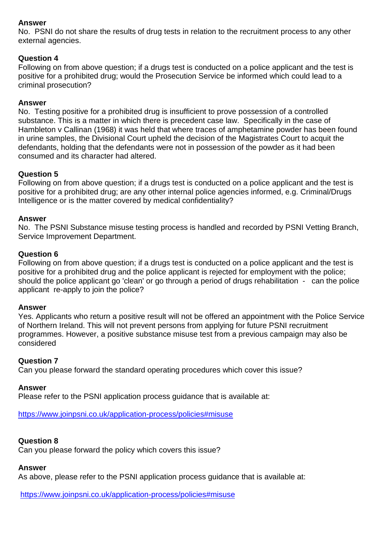#### **Answer**

No. PSNI do not share the results of drug tests in relation to the recruitment process to any other external agencies.

### **Question 4**

Following on from above question; if a drugs test is conducted on a police applicant and the test is positive for a prohibited drug; would the Prosecution Service be informed which could lead to a criminal prosecution?

#### **Answer**

No. Testing positive for a prohibited drug is insufficient to prove possession of a controlled substance. This is a matter in which there is precedent case law. Specifically in the case of Hambleton v Callinan (1968) it was held that where traces of amphetamine powder has been found in urine samples, the Divisional Court upheld the decision of the Magistrates Court to acquit the defendants, holding that the defendants were not in possession of the powder as it had been consumed and its character had altered.

#### **Question 5**

Following on from above question; if a drugs test is conducted on a police applicant and the test is positive for a prohibited drug; are any other internal police agencies informed, e.g. Criminal/Drugs Intelligence or is the matter covered by medical confidentiality?

#### **Answer**

No. The PSNI Substance misuse testing process is handled and recorded by PSNI Vetting Branch, Service Improvement Department.

#### **Question 6**

Following on from above question; if a drugs test is conducted on a police applicant and the test is positive for a prohibited drug and the police applicant is rejected for employment with the police; should the police applicant go 'clean' or go through a period of drugs rehabilitation - can the police applicant re-apply to join the police?

#### **Answer**

Yes. Applicants who return a positive result will not be offered an appointment with the Police Service of Northern Ireland. This will not prevent persons from applying for future PSNI recruitment programmes. However, a positive substance misuse test from a previous campaign may also be considered

#### **Question 7**

Can you please forward the standard operating procedures which cover this issue?

#### **Answer**

Please refer to the PSNI application process guidance that is available at:

<https://www.joinpsni.co.uk/application-process/policies#misuse>

## **Question 8**

Can you please forward the policy which covers this issue?

## **Answer**

As above, please refer to the PSNI application process guidance that is available at:

<https://www.joinpsni.co.uk/application-process/policies#misuse>